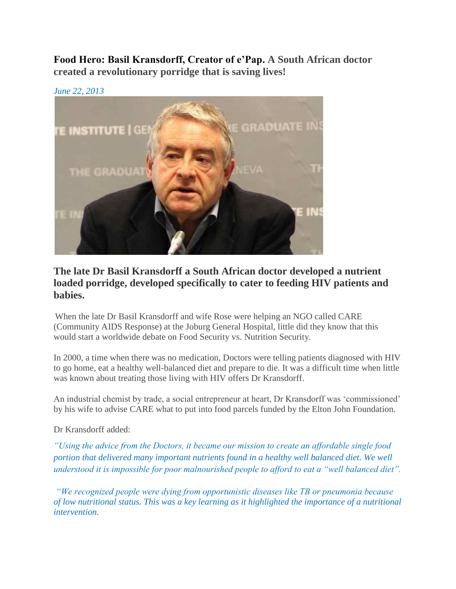**Food Hero: Basil Kransdorff, Creator of e'Pap. A South African doctor created a revolutionary porridge that is saving lives!**



## **The late Dr Basil Kransdorff a South African doctor developed a nutrient loaded porridge, developed specifically to cater to feeding HIV patients and babies.**

When the late Dr Basil Kransdorff and wife Rose were helping an NGO called CARE (Community AIDS Response) at the Joburg General Hospital, little did they know that this would start a worldwide debate on Food Security vs. Nutrition Security.

In 2000, a time when there was no medication, Doctors were telling patients diagnosed with HIV to go home, eat a healthy well-balanced diet and prepare to die. It was a difficult time when little was known about treating those living with HIV offers Dr Kransdorff.

An industrial chemist by trade, a social entrepreneur at heart, Dr Kransdorff was 'commissioned' by his wife to advise CARE what to put into food parcels funded by the Elton John Foundation.

Dr Kransdorff added:

*"Using the advice from the Doctors, it became our mission to create an affordable single food portion that delivered many important nutrients found in a healthy well balanced diet. We well understood it is impossible for poor malnourished people to afford to eat a "well balanced diet".*

*"We recognized people were dying from opportunistic diseases like TB or pneumonia because of low nutritional status. This was a key learning as it highlighted the importance of a nutritional intervention.*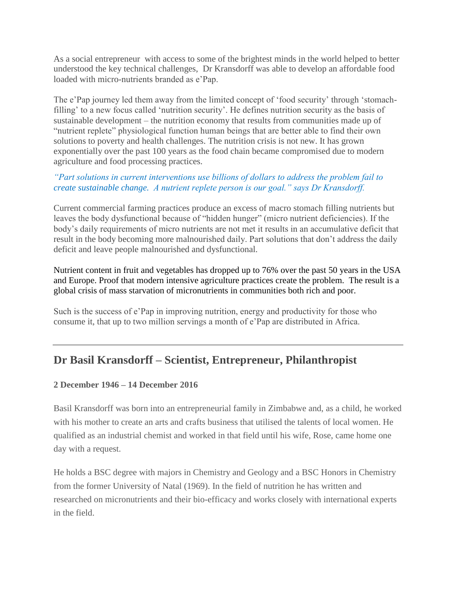As a social entrepreneur with access to some of the brightest minds in the world helped to better understood the key technical challenges, Dr Kransdorff was able to develop an affordable food loaded with micro-nutrients branded as e'Pap.

The e'Pap journey led them away from the limited concept of 'food security' through 'stomachfilling' to a new focus called 'nutrition security'. He defines nutrition security as the basis of sustainable development – the nutrition economy that results from communities made up of "nutrient replete" physiological function human beings that are better able to find their own solutions to poverty and health challenges. The nutrition crisis is not new. It has grown exponentially over the past 100 years as the food chain became compromised due to modern agriculture and food processing practices.

*"Part solutions in current interventions use billions of dollars to address the problem fail to create sustainable change. A nutrient replete person is our goal." says Dr Kransdorff.*

Current commercial farming practices produce an excess of macro stomach filling nutrients but leaves the body dysfunctional because of "hidden hunger" (micro nutrient deficiencies). If the body's daily requirements of micro nutrients are not met it results in an accumulative deficit that result in the body becoming more malnourished daily. Part solutions that don't address the daily deficit and leave people malnourished and dysfunctional.

Nutrient content in fruit and vegetables has dropped up to 76% over the past 50 years in the USA and Europe. Proof that modern intensive agriculture practices create the problem. The result is a global crisis of mass starvation of micronutrients in communities both rich and poor.

Such is the success of e'Pap in improving nutrition, energy and productivity for those who consume it, that up to two million servings a month of e'Pap are distributed in Africa.

## **Dr Basil Kransdorff – Scientist, Entrepreneur, Philanthropist**

### **2 December 1946 – 14 December 2016**

Basil Kransdorff was born into an entrepreneurial family in Zimbabwe and, as a child, he worked with his mother to create an arts and crafts business that utilised the talents of local women. He qualified as an industrial chemist and worked in that field until his wife, Rose, came home one day with a request.

He holds a BSC degree with majors in Chemistry and Geology and a BSC Honors in Chemistry from the former University of Natal (1969). In the field of nutrition he has written and researched on micronutrients and their bio-efficacy and works closely with international experts in the field.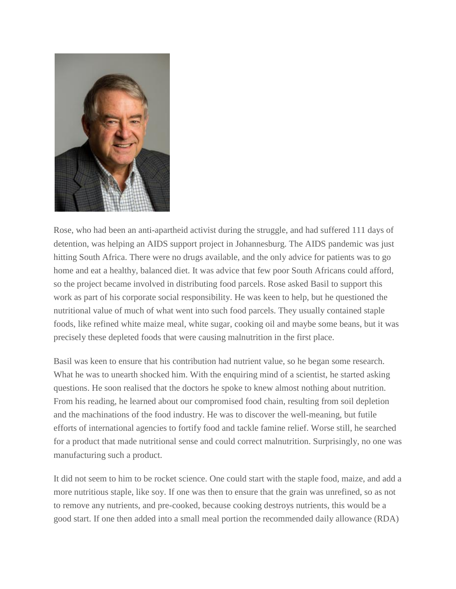

Rose, who had been an anti-apartheid activist during the struggle, and had suffered 111 days of detention, was helping an AIDS support project in Johannesburg. The AIDS pandemic was just hitting South Africa. There were no drugs available, and the only advice for patients was to go home and eat a healthy, balanced diet. It was advice that few poor South Africans could afford, so the project became involved in distributing food parcels. Rose asked Basil to support this work as part of his corporate social responsibility. He was keen to help, but he questioned the nutritional value of much of what went into such food parcels. They usually contained staple foods, like refined white maize meal, white sugar, cooking oil and maybe some beans, but it was precisely these depleted foods that were causing malnutrition in the first place.

Basil was keen to ensure that his contribution had nutrient value, so he began some research. What he was to unearth shocked him. With the enquiring mind of a scientist, he started asking questions. He soon realised that the doctors he spoke to knew almost nothing about nutrition. From his reading, he learned about our compromised food chain, resulting from soil depletion and the machinations of the food industry. He was to discover the well-meaning, but futile efforts of international agencies to fortify food and tackle famine relief. Worse still, he searched for a product that made nutritional sense and could correct malnutrition. Surprisingly, no one was manufacturing such a product.

It did not seem to him to be rocket science. One could start with the staple food, maize, and add a more nutritious staple, like soy. If one was then to ensure that the grain was unrefined, so as not to remove any nutrients, and pre-cooked, because cooking destroys nutrients, this would be a good start. If one then added into a small meal portion the recommended daily allowance (RDA)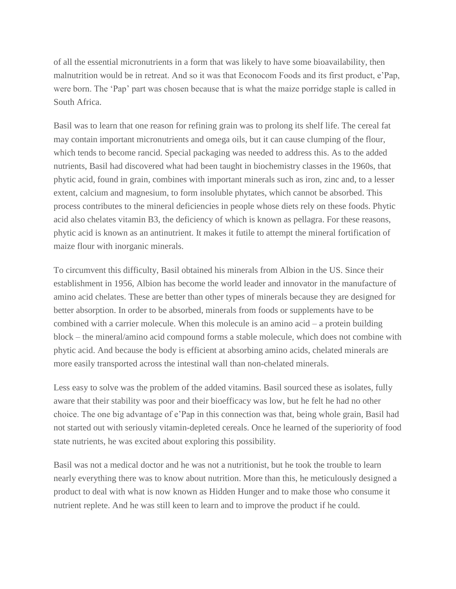of all the essential micronutrients in a form that was likely to have some bioavailability, then malnutrition would be in retreat. And so it was that Econocom Foods and its first product, e'Pap, were born. The 'Pap' part was chosen because that is what the maize porridge staple is called in South Africa.

Basil was to learn that one reason for refining grain was to prolong its shelf life. The cereal fat may contain important micronutrients and omega oils, but it can cause clumping of the flour, which tends to become rancid. Special packaging was needed to address this. As to the added nutrients, Basil had discovered what had been taught in biochemistry classes in the 1960s, that phytic acid, found in grain, combines with important minerals such as iron, zinc and, to a lesser extent, calcium and magnesium, to form insoluble phytates, which cannot be absorbed. This process contributes to the mineral deficiencies in people whose diets rely on these foods. Phytic acid also chelates vitamin B3, the deficiency of which is known as pellagra. For these reasons, phytic acid is known as an antinutrient. It makes it futile to attempt the mineral fortification of maize flour with inorganic minerals.

To circumvent this difficulty, Basil obtained his minerals from Albion in the US. Since their establishment in 1956, Albion has become the world leader and innovator in the manufacture of amino acid chelates. These are better than other types of minerals because they are designed for better absorption. In order to be absorbed, minerals from foods or supplements have to be combined with a carrier molecule. When this molecule is an amino acid – a protein building block – the mineral/amino acid compound forms a stable molecule, which does not combine with phytic acid. And because the body is efficient at absorbing amino acids, chelated minerals are more easily transported across the intestinal wall than non-chelated minerals.

Less easy to solve was the problem of the added vitamins. Basil sourced these as isolates, fully aware that their stability was poor and their bioefficacy was low, but he felt he had no other choice. The one big advantage of e'Pap in this connection was that, being whole grain, Basil had not started out with seriously vitamin-depleted cereals. Once he learned of the superiority of food state nutrients, he was excited about exploring this possibility.

Basil was not a medical doctor and he was not a nutritionist, but he took the trouble to learn nearly everything there was to know about nutrition. More than this, he meticulously designed a product to deal with what is now known as Hidden Hunger and to make those who consume it nutrient replete. And he was still keen to learn and to improve the product if he could.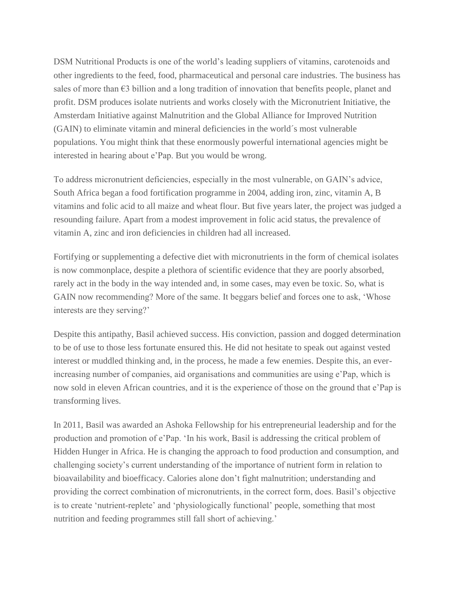DSM Nutritional Products is one of the world's leading suppliers of vitamins, carotenoids and other ingredients to the feed, food, pharmaceutical and personal care industries. The business has sales of more than €3 billion and a long tradition of innovation that benefits people, planet and profit. DSM produces isolate nutrients and works closely with the Micronutrient Initiative, the Amsterdam Initiative against Malnutrition and the Global Alliance for Improved Nutrition (GAIN) to eliminate vitamin and mineral deficiencies in the world´s most vulnerable populations. You might think that these enormously powerful international agencies might be interested in hearing about e'Pap. But you would be wrong.

To address micronutrient deficiencies, especially in the most vulnerable, on GAIN's advice, South Africa began a food fortification programme in 2004, adding iron, zinc, vitamin A, B vitamins and folic acid to all maize and wheat flour. But five years later, the project was judged a resounding failure. Apart from a modest improvement in folic acid status, the prevalence of vitamin A, zinc and iron deficiencies in children had all increased.

Fortifying or supplementing a defective diet with micronutrients in the form of chemical isolates is now commonplace, despite a plethora of scientific evidence that they are poorly absorbed, rarely act in the body in the way intended and, in some cases, may even be toxic. So, what is GAIN now recommending? More of the same. It beggars belief and forces one to ask, 'Whose interests are they serving?'

Despite this antipathy, Basil achieved success. His conviction, passion and dogged determination to be of use to those less fortunate ensured this. He did not hesitate to speak out against vested interest or muddled thinking and, in the process, he made a few enemies. Despite this, an everincreasing number of companies, aid organisations and communities are using e'Pap, which is now sold in eleven African countries, and it is the experience of those on the ground that e'Pap is transforming lives.

In 2011, Basil was awarded an Ashoka Fellowship for his entrepreneurial leadership and for the production and promotion of e'Pap. 'In his work, Basil is addressing the critical problem of Hidden Hunger in Africa. He is changing the approach to food production and consumption, and challenging society's current understanding of the importance of nutrient form in relation to bioavailability and bioefficacy. Calories alone don't fight malnutrition; understanding and providing the correct combination of micronutrients, in the correct form, does. Basil's objective is to create 'nutrient-replete' and 'physiologically functional' people, something that most nutrition and feeding programmes still fall short of achieving.'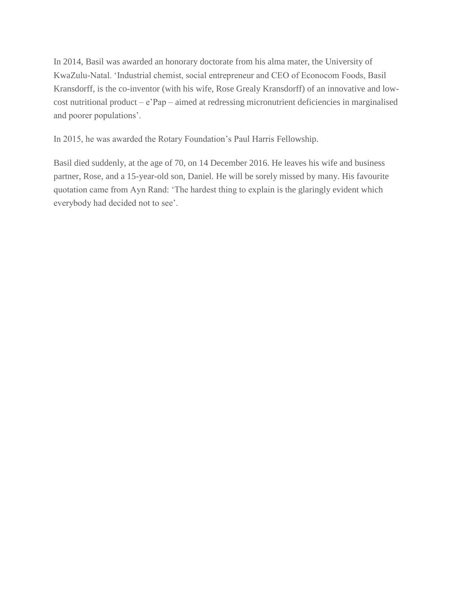In 2014, Basil was awarded an honorary doctorate from his alma mater, the University of KwaZulu-Natal. 'Industrial chemist, social entrepreneur and CEO of Econocom Foods, Basil Kransdorff, is the co-inventor (with his wife, Rose Grealy Kransdorff) of an innovative and lowcost nutritional product – e'Pap – aimed at redressing micronutrient deficiencies in marginalised and poorer populations'.

In 2015, he was awarded the Rotary Foundation's Paul Harris Fellowship.

Basil died suddenly, at the age of 70, on 14 December 2016. He leaves his wife and business partner, Rose, and a 15-year-old son, Daniel. He will be sorely missed by many. His favourite quotation came from Ayn Rand: 'The hardest thing to explain is the glaringly evident which everybody had decided not to see'.